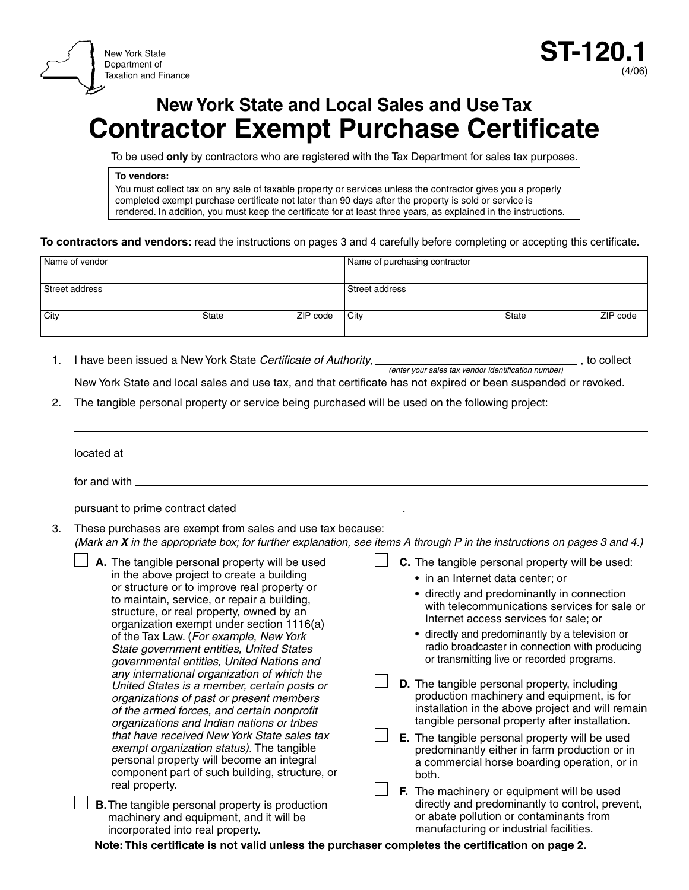



# **New York State and Local Sales and Use Tax Contractor Exempt Purchase Certificate**

To be used **only** by contractors who are registered with the Tax Department for sales tax purposes.

**To vendors:**

You must collect tax on any sale of taxable property or services unless the contractor gives you a properly completed exempt purchase certificate not later than 90 days after the property is sold or service is rendered. In addition, you must keep the certificate for at least three years, as explained in the instructions.

**To contractors and vendors:** read the instructions on pages 3 and 4 carefully before completing or accepting this certificate.

| Name of vendor |       |          | Name of purchasing contractor |              |          |
|----------------|-------|----------|-------------------------------|--------------|----------|
|                |       |          |                               |              |          |
| Street address |       |          | Street address                |              |          |
| City           | State | ZIP code | City                          | <b>State</b> | ZIP code |
|                |       |          |                               |              |          |

1. I have been issued a New York State *Certificate of Authority*, *(enter your sales tax vendor identification number)*, to collect

New York State and local sales and use tax, and that certificate has not expired or been suspended or revoked.

2. The tangible personal property or service being purchased will be used on the following project:

|    | located at                                                                                                                                                                                                                                                                                                                                                                                                                                                                                                                                                                                                                                                                                                                                                                                                                                                               |                                                                                                                                                                                                                                                                                                                                                                                                                                                                                                                                                                                                                                                                                                                                                |  |
|----|--------------------------------------------------------------------------------------------------------------------------------------------------------------------------------------------------------------------------------------------------------------------------------------------------------------------------------------------------------------------------------------------------------------------------------------------------------------------------------------------------------------------------------------------------------------------------------------------------------------------------------------------------------------------------------------------------------------------------------------------------------------------------------------------------------------------------------------------------------------------------|------------------------------------------------------------------------------------------------------------------------------------------------------------------------------------------------------------------------------------------------------------------------------------------------------------------------------------------------------------------------------------------------------------------------------------------------------------------------------------------------------------------------------------------------------------------------------------------------------------------------------------------------------------------------------------------------------------------------------------------------|--|
|    | for and with                                                                                                                                                                                                                                                                                                                                                                                                                                                                                                                                                                                                                                                                                                                                                                                                                                                             |                                                                                                                                                                                                                                                                                                                                                                                                                                                                                                                                                                                                                                                                                                                                                |  |
| 3. | pursuant to prime contract dated<br>These purchases are exempt from sales and use tax because:<br>(Mark an X in the appropriate box; for further explanation, see items A through P in the instructions on pages 3 and 4.)                                                                                                                                                                                                                                                                                                                                                                                                                                                                                                                                                                                                                                               |                                                                                                                                                                                                                                                                                                                                                                                                                                                                                                                                                                                                                                                                                                                                                |  |
|    | A. The tangible personal property will be used<br>in the above project to create a building<br>or structure or to improve real property or<br>to maintain, service, or repair a building,<br>structure, or real property, owned by an<br>organization exempt under section 1116(a)<br>of the Tax Law. (For example, New York<br>State government entities, United States<br>governmental entities, United Nations and<br>any international organization of which the<br>United States is a member, certain posts or<br>organizations of past or present members<br>of the armed forces, and certain nonprofit<br>organizations and Indian nations or tribes<br>that have received New York State sales tax<br>exempt organization status). The tangible<br>personal property will become an integral<br>component part of such building, structure, or<br>real property. | C. The tangible personal property will be used:<br>• in an Internet data center; or<br>• directly and predominantly in connection<br>with telecommunications services for sale or<br>Internet access services for sale; or<br>• directly and predominantly by a television or<br>radio broadcaster in connection with producing<br>or transmitting live or recorded programs.<br>D. The tangible personal property, including<br>production machinery and equipment, is for<br>installation in the above project and will remain<br>tangible personal property after installation.<br>E. The tangible personal property will be used<br>predominantly either in farm production or in<br>a commercial horse boarding operation, or in<br>both. |  |
|    | <b>B.</b> The tangible personal property is production<br>machinery and equipment, and it will be<br>incorporated into real property.                                                                                                                                                                                                                                                                                                                                                                                                                                                                                                                                                                                                                                                                                                                                    | F. The machinery or equipment will be used<br>directly and predominantly to control, prevent,<br>or abate pollution or contaminants from<br>manufacturing or industrial facilities.                                                                                                                                                                                                                                                                                                                                                                                                                                                                                                                                                            |  |

**Note: This certificate is not valid unless the purchaser completes the certification on page 2.**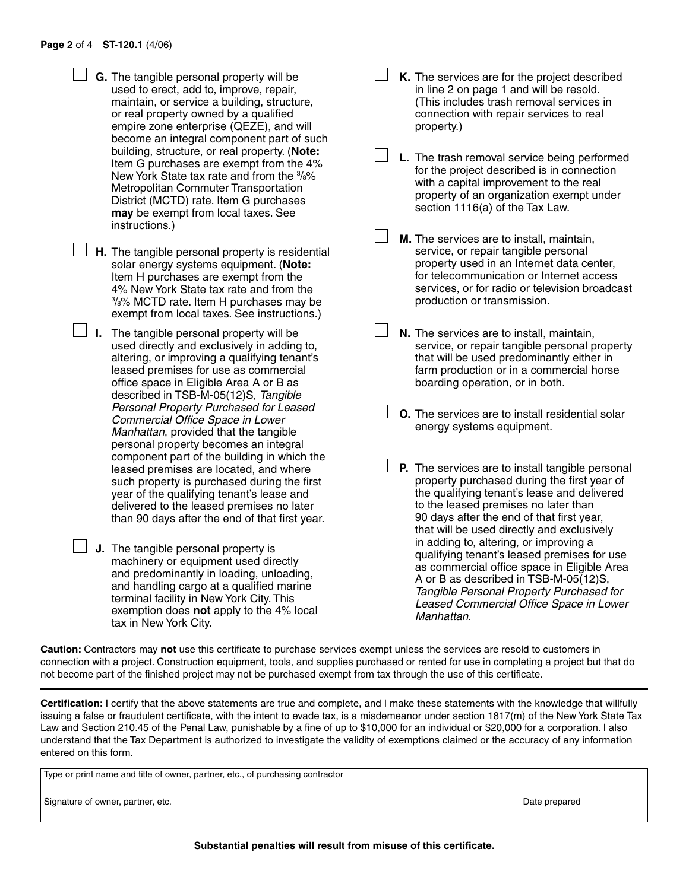- **G.** The tangible personal property will be used to erect, add to, improve, repair, maintain, or service a building, structure, or real property owned by a qualified empire zone enterprise (QEZE), and will become an integral component part of such building, structure, or real property. (**Note:** Item G purchases are exempt from the 4% New York State tax rate and from the  $\frac{3}{8}\%$ Metropolitan Commuter Transportation District (MCTD) rate. Item G purchases **may** be exempt from local taxes. See instructions.)
- **H.** The tangible personal property is residential solar energy systems equipment. (**Note:** Item H purchases are exempt from the 4% New York State tax rate and from the 3 /8% MCTD rate. Item H purchases may be exempt from local taxes. See instructions.)
	- **I.** The tangible personal property will be used directly and exclusively in adding to, altering, or improving a qualifying tenant's leased premises for use as commercial office space in Eligible Area A or B as described in TSB‑M‑05(12)S, *Tangible Personal Property Purchased for Leased Commercial Office Space in Lower Manhattan*, provided that the tangible personal property becomes an integral component part of the building in which the leased premises are located, and where such property is purchased during the first year of the qualifying tenant's lease and delivered to the leased premises no later than 90 days after the end of that first year.
- **J.** The tangible personal property is machinery or equipment used directly and predominantly in loading, unloading, and handling cargo at a qualified marine terminal facility in New York City. This exemption does **not** apply to the 4% local tax in New York City.
- **K.** The services are for the project described in line 2 on page 1 and will be resold. (This includes trash removal services in connection with repair services to real property.)
- **L.** The trash removal service being performed for the project described is in connection with a capital improvement to the real property of an organization exempt under section 1116(a) of the Tax Law.
- **M.** The services are to install, maintain, service, or repair tangible personal property used in an Internet data center, for telecommunication or Internet access services, or for radio or television broadcast production or transmission.
- **N.** The services are to install, maintain, service, or repair tangible personal property that will be used predominantly either in farm production or in a commercial horse boarding operation, or in both.
- **O.** The services are to install residential solar energy systems equipment.
- **P.** The services are to install tangible personal property purchased during the first year of the qualifying tenant's lease and delivered to the leased premises no later than 90 days after the end of that first year, that will be used directly and exclusively in adding to, altering, or improving a qualifying tenant's leased premises for use as commercial office space in Eligible Area A or B as described in TSB‑M‑05(12)S, *Tangible Personal Property Purchased for Leased Commercial Office Space in Lower Manhattan*.

**Caution:** Contractors may **not** use this certificate to purchase services exempt unless the services are resold to customers in connection with a project. Construction equipment, tools, and supplies purchased or rented for use in completing a project but that do not become part of the finished project may not be purchased exempt from tax through the use of this certificate.

**Certification:** I certify that the above statements are true and complete, and I make these statements with the knowledge that willfully issuing a false or fraudulent certificate, with the intent to evade tax, is a misdemeanor under section 1817(m) of the New York State Tax Law and Section 210.45 of the Penal Law, punishable by a fine of up to \$10,000 for an individual or \$20,000 for a corporation. I also understand that the Tax Department is authorized to investigate the validity of exemptions claimed or the accuracy of any information entered on this form.

| Type or print name and title of owner, partner, etc., of purchasing contractor |               |  |  |  |  |
|--------------------------------------------------------------------------------|---------------|--|--|--|--|
| Signature of owner, partner, etc.                                              | Date prepared |  |  |  |  |

**Substantial penalties will result from misuse of this certificate.**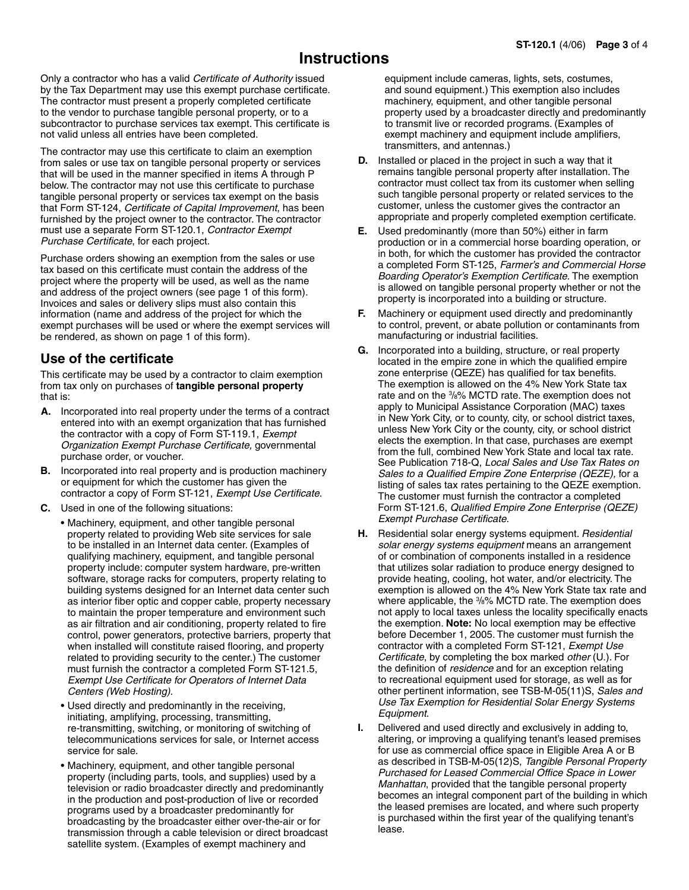## **Instructions**

Only a contractor who has a valid *Certificate of Authority* issued by the Tax Department may use this exempt purchase certificate. The contractor must present a properly completed certificate to the vendor to purchase tangible personal property, or to a subcontractor to purchase services tax exempt. This certificate is not valid unless all entries have been completed.

The contractor may use this certificate to claim an exemption from sales or use tax on tangible personal property or services that will be used in the manner specified in items A through P below. The contractor may not use this certificate to purchase tangible personal property or services tax exempt on the basis that Form ST-124, *Certificate of Capital Improvement*, has been furnished by the project owner to the contractor. The contractor must use a separate Form ST‑120.1, *Contractor Exempt Purchase Certificate*, for each project.

Purchase orders showing an exemption from the sales or use tax based on this certificate must contain the address of the project where the property will be used, as well as the name and address of the project owners (see page 1 of this form). Invoices and sales or delivery slips must also contain this information (name and address of the project for which the exempt purchases will be used or where the exempt services will be rendered, as shown on page 1 of this form).

## **Use of the certificate**

This certificate may be used by a contractor to claim exemption from tax only on purchases of **tangible personal property**  that is:

- **A.** Incorporated into real property under the terms of a contract entered into with an exempt organization that has furnished the contractor with a copy of Form ST-119.1, *Exempt Organization Exempt Purchase Certificate,* governmental purchase order, or voucher.
- **B.** Incorporated into real property and is production machinery or equipment for which the customer has given the contractor a copy of Form ST‑121, *Exempt Use Certificate.*
- **C.** Used in one of the following situations:
	- Machinery, equipment, and other tangible personal property related to providing Web site services for sale to be installed in an Internet data center. (Examples of qualifying machinery, equipment, and tangible personal property include: computer system hardware, pre-written software, storage racks for computers, property relating to building systems designed for an Internet data center such as interior fiber optic and copper cable, property necessary to maintain the proper temperature and environment such as air filtration and air conditioning, property related to fire control, power generators, protective barriers, property that when installed will constitute raised flooring, and property related to providing security to the center.) The customer must furnish the contractor a completed Form ST-121.5, *Exempt Use Certificate for Operators of Internet Data Centers (Web Hosting).*
	- Used directly and predominantly in the receiving, initiating, amplifying, processing, transmitting, re-transmitting, switching, or monitoring of switching of telecommunications services for sale, or Internet access service for sale.
	- Machinery, equipment, and other tangible personal property (including parts, tools, and supplies) used by a television or radio broadcaster directly and predominantly in the production and post‑production of live or recorded programs used by a broadcaster predominantly for broadcasting by the broadcaster either over-the-air or for transmission through a cable television or direct broadcast satellite system. (Examples of exempt machinery and

equipment include cameras, lights, sets, costumes, and sound equipment.) This exemption also includes machinery, equipment, and other tangible personal property used by a broadcaster directly and predominantly to transmit live or recorded programs. (Examples of exempt machinery and equipment include amplifiers, transmitters, and antennas.)

- **D.** Installed or placed in the project in such a way that it remains tangible personal property after installation. The contractor must collect tax from its customer when selling such tangible personal property or related services to the customer, unless the customer gives the contractor an appropriate and properly completed exemption certificate.
- **E.** Used predominantly (more than 50%) either in farm production or in a commercial horse boarding operation, or in both, for which the customer has provided the contractor a completed Form ST‑125, *Farmer's and Commercial Horse Boarding Operator's Exemption Certificate.* The exemption is allowed on tangible personal property whether or not the property is incorporated into a building or structure.
- **F.** Machinery or equipment used directly and predominantly to control, prevent, or abate pollution or contaminants from manufacturing or industrial facilities.
- **G.** Incorporated into a building, structure, or real property located in the empire zone in which the qualified empire zone enterprise (QEZE) has qualified for tax benefits. The exemption is allowed on the 4% New York State tax rate and on the 3 /8% MCTD rate. The exemption does not apply to Municipal Assistance Corporation (MAC) taxes in New York City, or to county, city, or school district taxes, unless New York City or the county, city, or school district elects the exemption. In that case, purchases are exempt from the full, combined New York State and local tax rate. See Publication 718‑Q, *Local Sales and Use Tax Rates on Sales to a Qualified Empire Zone Enterprise (QEZE),* for a listing of sales tax rates pertaining to the QEZE exemption. The customer must furnish the contractor a completed Form ST‑121.6, *Qualified Empire Zone Enterprise (QEZE) Exempt Purchase Certificate*.
- **H.** Residential solar energy systems equipment. *Residential solar energy systems equipment* means an arrangement of or combination of components installed in a residence that utilizes solar radiation to produce energy designed to provide heating, cooling, hot water, and/or electricity. The exemption is allowed on the 4% New York State tax rate and where applicable, the  $\frac{3}{8}$ % MCTD rate. The exemption does not apply to local taxes unless the locality specifically enacts the exemption. **Note:** No local exemption may be effective before December 1, 2005. The customer must furnish the contractor with a completed Form ST‑121, *Exempt Use Certificate*, by completing the box marked *other* (U.)*.* For the definition of *residence* and for an exception relating to recreational equipment used for storage, as well as for other pertinent information, see TSB‑M‑05(11)S, *Sales and Use Tax Exemption for Residential Solar Energy Systems Equipment*.
- **I.** Delivered and used directly and exclusively in adding to, altering, or improving a qualifying tenant's leased premises for use as commercial office space in Eligible Area A or B as described in TSB‑M‑05(12)S, *Tangible Personal Property Purchased for Leased Commercial Office Space in Lower Manhattan*, provided that the tangible personal property becomes an integral component part of the building in which the leased premises are located, and where such property is purchased within the first year of the qualifying tenant's lease.